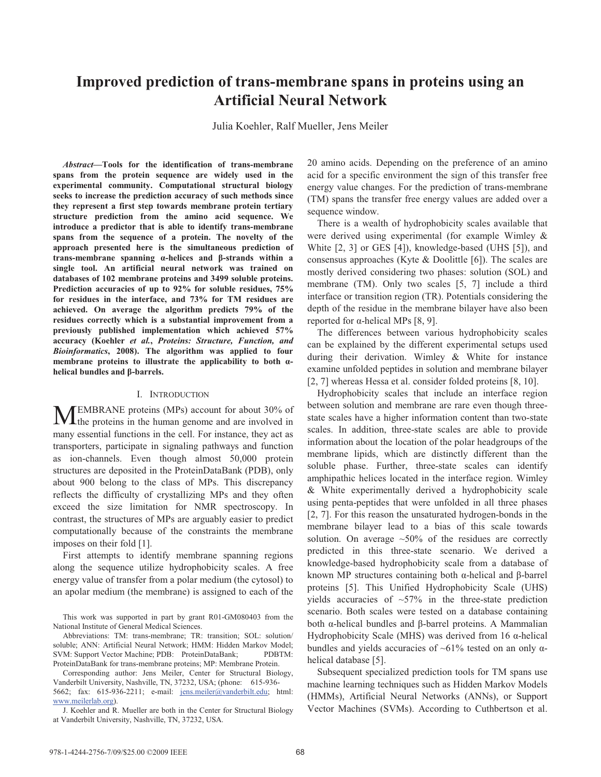# **Improved prediction of trans-membrane spans in proteins using an Artificial Neural Network**

Julia Koehler, Ralf Mueller, Jens Meiler

*Abstract***—Tools for the identification of trans-membrane spans from the protein sequence are widely used in the experimental community. Computational structural biology seeks to increase the prediction accuracy of such methods since they represent a first step towards membrane protein tertiary structure prediction from the amino acid sequence. We introduce a predictor that is able to identify trans-membrane spans from the sequence of a protein. The novelty of the approach presented here is the simultaneous prediction of**  trans-membrane spanning α-helices and β-strands within a **single tool. An artificial neural network was trained on databases of 102 membrane proteins and 3499 soluble proteins. Prediction accuracies of up to 92% for soluble residues, 75% for residues in the interface, and 73% for TM residues are achieved. On average the algorithm predicts 79% of the residues correctly which is a substantial improvement from a previously published implementation which achieved 57% accuracy (Koehler** *et al.***,** *Proteins: Structure, Function, and Bioinformatics***, 2008). The algorithm was applied to four**  membrane proteins to illustrate the applicability to both  $\alpha$ **helical bundles and β-barrels.** 

#### I. INTRODUCTION

EMBRANE proteins (MPs) account for about 30% of **MEMBRANE** proteins (MPs) account for about 30% of the proteins in the human genome and are involved in many essential functions in the cell. For instance, they act as transporters, participate in signaling pathways and function as ion-channels. Even though almost 50,000 protein structures are deposited in the ProteinDataBank (PDB), only about 900 belong to the class of MPs. This discrepancy reflects the difficulty of crystallizing MPs and they often exceed the size limitation for NMR spectroscopy. In contrast, the structures of MPs are arguably easier to predict computationally because of the constraints the membrane imposes on their fold [1].

First attempts to identify membrane spanning regions along the sequence utilize hydrophobicity scales. A free energy value of transfer from a polar medium (the cytosol) to an apolar medium (the membrane) is assigned to each of the

Corresponding author: Jens Meiler, Center for Structural Biology, Vanderbilt University, Nashville, TN, 37232, USA; (phone: 615-936- 5662; fax: 615-936-2211; e-mail: jens.meiler@vanderbilt.edu; html: www.meilerlab.org).

20 amino acids. Depending on the preference of an amino acid for a specific environment the sign of this transfer free energy value changes. For the prediction of trans-membrane (TM) spans the transfer free energy values are added over a sequence window.

There is a wealth of hydrophobicity scales available that were derived using experimental (for example Wimley & White [2, 3] or GES [4]), knowledge-based (UHS [5]), and consensus approaches (Kyte & Doolittle [6]). The scales are mostly derived considering two phases: solution (SOL) and membrane (TM). Only two scales [5, 7] include a third interface or transition region (TR). Potentials considering the depth of the residue in the membrane bilayer have also been reported for  $\alpha$ -helical MPs [8, 9].

The differences between various hydrophobicity scales can be explained by the different experimental setups used during their derivation. Wimley & White for instance examine unfolded peptides in solution and membrane bilayer [2, 7] whereas Hessa et al. consider folded proteins [8, 10].

Hydrophobicity scales that include an interface region between solution and membrane are rare even though threestate scales have a higher information content than two-state scales. In addition, three-state scales are able to provide information about the location of the polar headgroups of the membrane lipids, which are distinctly different than the soluble phase. Further, three-state scales can identify amphipathic helices located in the interface region. Wimley & White experimentally derived a hydrophobicity scale using penta-peptides that were unfolded in all three phases [2, 7]. For this reason the unsaturated hydrogen-bonds in the membrane bilayer lead to a bias of this scale towards solution. On average ~50% of the residues are correctly predicted in this three-state scenario. We derived a knowledge-based hydrophobicity scale from a database of known MP structures containing both  $\alpha$ -helical and  $\beta$ -barrel proteins [5]. This Unified Hydrophobicity Scale (UHS) yields accuracies of  $\sim$ 57% in the three-state prediction scenario. Both scales were tested on a database containing both  $\alpha$ -helical bundles and  $\beta$ -barrel proteins. A Mammalian Hydrophobicity Scale (MHS) was derived from 16  $\alpha$ -helical bundles and yields accuracies of  $~61\%$  tested on an only  $\alpha$ helical database [5].

Subsequent specialized prediction tools for TM spans use machine learning techniques such as Hidden Markov Models (HMMs), Artificial Neural Networks (ANNs), or Support Vector Machines (SVMs). According to Cuthbertson et al.

This work was supported in part by grant R01-GM080403 from the National Institute of General Medical Sciences.

Abbreviations: TM: trans-membrane; TR: transition; SOL: solution/ soluble; ANN: Artificial Neural Network; HMM: Hidden Markov Model; SVM: Support Vector Machine; PDB: ProteinDataBank; PDBTM: ProteinDataBank for trans-membrane proteins; MP: Membrane Protein.

J. Koehler and R. Mueller are both in the Center for Structural Biology at Vanderbilt University, Nashville, TN, 37232, USA.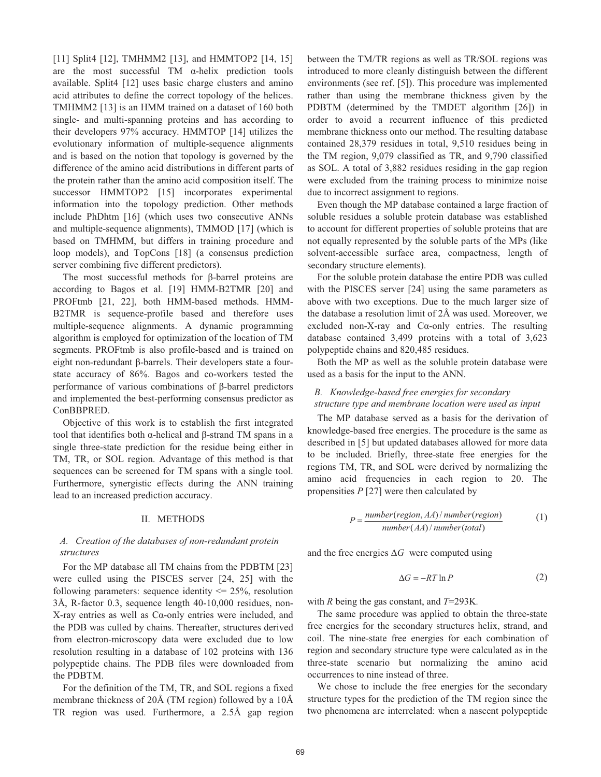[11] Split4 [12], TMHMM2 [13], and HMMTOP2 [14, 15] are the most successful  $TM$   $\alpha$ -helix prediction tools available. Split4 [12] uses basic charge clusters and amino acid attributes to define the correct topology of the helices. TMHMM2 [13] is an HMM trained on a dataset of 160 both single- and multi-spanning proteins and has according to their developers 97% accuracy. HMMTOP [14] utilizes the evolutionary information of multiple-sequence alignments and is based on the notion that topology is governed by the difference of the amino acid distributions in different parts of the protein rather than the amino acid composition itself. The successor HMMTOP2 [15] incorporates experimental information into the topology prediction. Other methods include PhDhtm [16] (which uses two consecutive ANNs and multiple-sequence alignments), TMMOD [17] (which is based on TMHMM, but differs in training procedure and loop models), and TopCons [18] (a consensus prediction server combining five different predictors).

The most successful methods for  $\beta$ -barrel proteins are according to Bagos et al. [19] HMM-B2TMR [20] and PROFtmb [21, 22], both HMM-based methods. HMM-B2TMR is sequence-profile based and therefore uses multiple-sequence alignments. A dynamic programming algorithm is employed for optimization of the location of TM segments. PROFtmb is also profile-based and is trained on eight non-redundant  $\beta$ -barrels. Their developers state a fourstate accuracy of 86%. Bagos and co-workers tested the performance of various combinations of  $\beta$ -barrel predictors and implemented the best-performing consensus predictor as ConBBPRED.

Objective of this work is to establish the first integrated tool that identifies both  $\alpha$ -helical and  $\beta$ -strand TM spans in a single three-state prediction for the residue being either in TM, TR, or SOL region. Advantage of this method is that sequences can be screened for TM spans with a single tool. Furthermore, synergistic effects during the ANN training lead to an increased prediction accuracy.

#### II. METHODS

## *A. Creation of the databases of non-redundant protein structures*

For the MP database all TM chains from the PDBTM [23] were culled using the PISCES server [24, 25] with the following parameters: sequence identity  $\leq$  25%, resolution 3Å, R-factor 0.3, sequence length 40-10,000 residues, non- $X$ -ray entries as well as  $Ca$ -only entries were included, and the PDB was culled by chains. Thereafter, structures derived from electron-microscopy data were excluded due to low resolution resulting in a database of 102 proteins with 136 polypeptide chains. The PDB files were downloaded from the PDBTM.

For the definition of the TM, TR, and SOL regions a fixed membrane thickness of 20Å (TM region) followed by a 10Å TR region was used. Furthermore, a 2.5Å gap region between the TM/TR regions as well as TR/SOL regions was introduced to more cleanly distinguish between the different environments (see ref. [5]). This procedure was implemented rather than using the membrane thickness given by the PDBTM (determined by the TMDET algorithm [26]) in order to avoid a recurrent influence of this predicted membrane thickness onto our method. The resulting database contained 28,379 residues in total, 9,510 residues being in the TM region, 9,079 classified as TR, and 9,790 classified as SOL. A total of 3,882 residues residing in the gap region were excluded from the training process to minimize noise due to incorrect assignment to regions.

Even though the MP database contained a large fraction of soluble residues a soluble protein database was established to account for different properties of soluble proteins that are not equally represented by the soluble parts of the MPs (like solvent-accessible surface area, compactness, length of secondary structure elements).

For the soluble protein database the entire PDB was culled with the PISCES server [24] using the same parameters as above with two exceptions. Due to the much larger size of the database a resolution limit of 2Å was used. Moreover, we excluded non-X-ray and  $Ca$ -only entries. The resulting database contained 3,499 proteins with a total of 3,623 polypeptide chains and 820,485 residues.

Both the MP as well as the soluble protein database were used as a basis for the input to the ANN.

### *B. Knowledge-based free energies for secondary structure type and membrane location were used as input*

The MP database served as a basis for the derivation of knowledge-based free energies. The procedure is the same as described in [5] but updated databases allowed for more data to be included. Briefly, three-state free energies for the regions TM, TR, and SOL were derived by normalizing the amino acid frequencies in each region to 20. The propensities *P* [27] were then calculated by

$$
P = \frac{number(region, AA)/number(region)}{number(AA)/number(total)}
$$
 (1)

and the free energies  $\Delta G$  were computed using

$$
\Delta G = -RT \ln P \tag{2}
$$

with *R* being the gas constant, and *T*=293K*.* 

The same procedure was applied to obtain the three-state free energies for the secondary structures helix, strand, and coil. The nine-state free energies for each combination of region and secondary structure type were calculated as in the three-state scenario but normalizing the amino acid occurrences to nine instead of three.

We chose to include the free energies for the secondary structure types for the prediction of the TM region since the two phenomena are interrelated: when a nascent polypeptide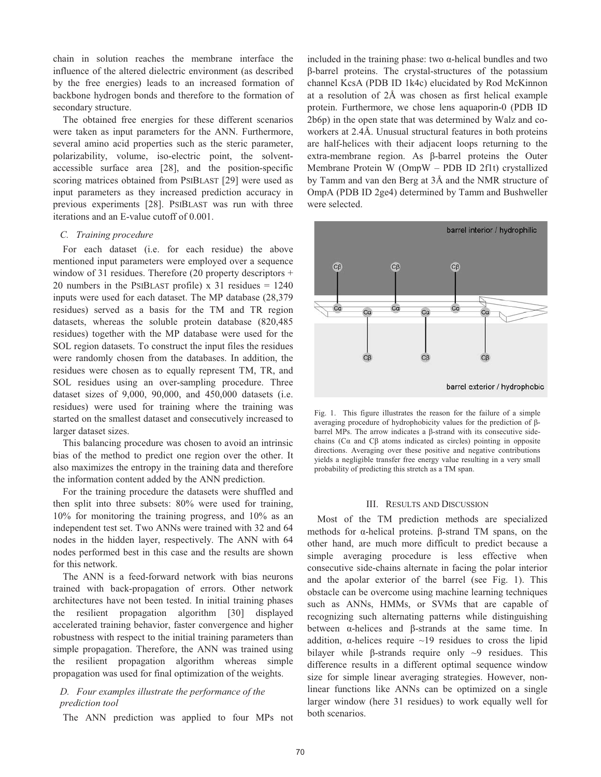chain in solution reaches the membrane interface the influence of the altered dielectric environment (as described by the free energies) leads to an increased formation of backbone hydrogen bonds and therefore to the formation of secondary structure.

The obtained free energies for these different scenarios were taken as input parameters for the ANN. Furthermore, several amino acid properties such as the steric parameter, polarizability, volume, iso-electric point, the solventaccessible surface area [28], and the position-specific scoring matrices obtained from PSIBLAST [29] were used as input parameters as they increased prediction accuracy in previous experiments [28]. PSIBLAST was run with three iterations and an E-value cutoff of 0.001.

#### *C. Training procedure*

For each dataset (i.e. for each residue) the above mentioned input parameters were employed over a sequence window of 31 residues. Therefore (20 property descriptors + 20 numbers in the PSIBLAST profile)  $x$  31 residues = 1240 inputs were used for each dataset. The MP database (28,379 residues) served as a basis for the TM and TR region datasets, whereas the soluble protein database (820,485 residues) together with the MP database were used for the SOL region datasets. To construct the input files the residues were randomly chosen from the databases. In addition, the residues were chosen as to equally represent TM, TR, and SOL residues using an over-sampling procedure. Three dataset sizes of 9,000, 90,000, and 450,000 datasets (i.e. residues) were used for training where the training was started on the smallest dataset and consecutively increased to larger dataset sizes.

This balancing procedure was chosen to avoid an intrinsic bias of the method to predict one region over the other. It also maximizes the entropy in the training data and therefore the information content added by the ANN prediction.

For the training procedure the datasets were shuffled and then split into three subsets: 80% were used for training, 10% for monitoring the training progress, and 10% as an independent test set. Two ANNs were trained with 32 and 64 nodes in the hidden layer, respectively. The ANN with 64 nodes performed best in this case and the results are shown for this network.

The ANN is a feed-forward network with bias neurons trained with back-propagation of errors. Other network architectures have not been tested. In initial training phases the resilient propagation algorithm [30] displayed accelerated training behavior, faster convergence and higher robustness with respect to the initial training parameters than simple propagation. Therefore, the ANN was trained using the resilient propagation algorithm whereas simple propagation was used for final optimization of the weights.

## *D. Four examples illustrate the performance of the prediction tool*

The ANN prediction was applied to four MPs not

included in the training phase: two  $\alpha$ -helical bundles and two -barrel proteins. The crystal-structures of the potassium channel KcsA (PDB ID 1k4c) elucidated by Rod McKinnon at a resolution of 2Å was chosen as first helical example protein. Furthermore, we chose lens aquaporin-0 (PDB ID 2b6p) in the open state that was determined by Walz and coworkers at 2.4Å. Unusual structural features in both proteins are half-helices with their adjacent loops returning to the  $extra-membrane region. As \beta-barrel proteins the Outer$ Membrane Protein W (OmpW – PDB ID 2f1t) crystallized by Tamm and van den Berg at 3Å and the NMR structure of OmpA (PDB ID 2ge4) determined by Tamm and Bushweller were selected.



Fig. 1. This figure illustrates the reason for the failure of a simple averaging procedure of hydrophobicity values for the prediction of  $\beta$ barrel MPs. The arrow indicates a  $\beta$ -strand with its consecutive sidechains (C $\alpha$  and C $\beta$  atoms indicated as circles) pointing in opposite directions. Averaging over these positive and negative contributions yields a negligible transfer free energy value resulting in a very small probability of predicting this stretch as a TM span.

#### III. RESULTS AND DISCUSSION

Most of the TM prediction methods are specialized methods for  $\alpha$ -helical proteins.  $\beta$ -strand TM spans, on the other hand, are much more difficult to predict because a simple averaging procedure is less effective when consecutive side-chains alternate in facing the polar interior and the apolar exterior of the barrel (see Fig. 1). This obstacle can be overcome using machine learning techniques such as ANNs, HMMs, or SVMs that are capable of recognizing such alternating patterns while distinguishing between  $\alpha$ -helices and  $\beta$ -strands at the same time. In addition,  $\alpha$ -helices require  $\sim$ 19 residues to cross the lipid bilayer while  $\beta$ -strands require only  $\sim$ 9 residues. This difference results in a different optimal sequence window size for simple linear averaging strategies. However, nonlinear functions like ANNs can be optimized on a single larger window (here 31 residues) to work equally well for both scenarios.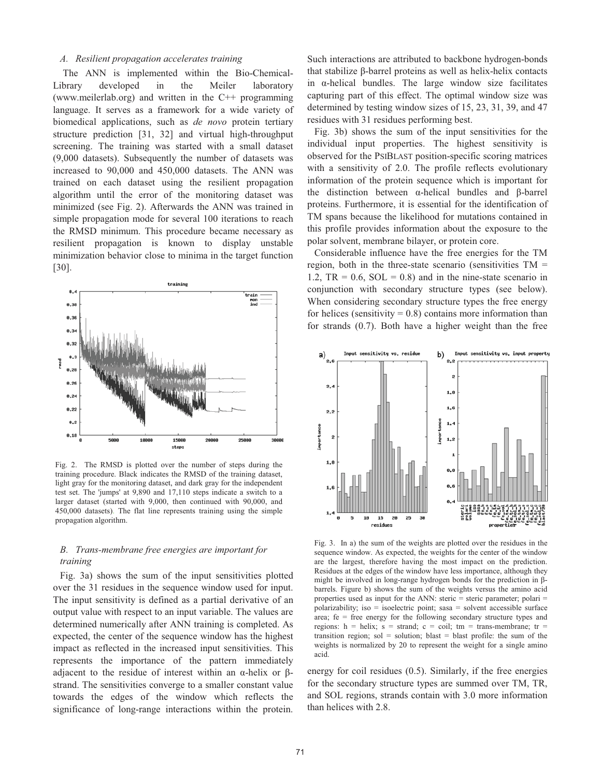#### *A. Resilient propagation accelerates training*

The ANN is implemented within the Bio-Chemical-Library developed in the Meiler laboratory (www.meilerlab.org) and written in the C++ programming language. It serves as a framework for a wide variety of biomedical applications, such as *de novo* protein tertiary structure prediction [31, 32] and virtual high-throughput screening. The training was started with a small dataset (9,000 datasets). Subsequently the number of datasets was increased to 90,000 and 450,000 datasets. The ANN was trained on each dataset using the resilient propagation algorithm until the error of the monitoring dataset was minimized (see Fig. 2). Afterwards the ANN was trained in simple propagation mode for several 100 iterations to reach the RMSD minimum. This procedure became necessary as resilient propagation is known to display unstable minimization behavior close to minima in the target function [30].



Fig. 2. The RMSD is plotted over the number of steps during the training procedure. Black indicates the RMSD of the training dataset, light gray for the monitoring dataset, and dark gray for the independent test set. The 'jumps' at 9,890 and 17,110 steps indicate a switch to a larger dataset (started with 9,000, then continued with 90,000, and 450,000 datasets). The flat line represents training using the simple propagation algorithm.

## *B. Trans-membrane free energies are important for training*

Fig. 3a) shows the sum of the input sensitivities plotted over the 31 residues in the sequence window used for input. The input sensitivity is defined as a partial derivative of an output value with respect to an input variable. The values are determined numerically after ANN training is completed. As expected, the center of the sequence window has the highest impact as reflected in the increased input sensitivities. This represents the importance of the pattern immediately adjacent to the residue of interest within an  $\alpha$ -helix or  $\beta$ strand. The sensitivities converge to a smaller constant value towards the edges of the window which reflects the significance of long-range interactions within the protein.

Such interactions are attributed to backbone hydrogen-bonds that stabilize  $\beta$ -barrel proteins as well as helix-helix contacts in  $\alpha$ -helical bundles. The large window size facilitates capturing part of this effect. The optimal window size was determined by testing window sizes of 15, 23, 31, 39, and 47 residues with 31 residues performing best.

Fig. 3b) shows the sum of the input sensitivities for the individual input properties. The highest sensitivity is observed for the PSIBLAST position-specific scoring matrices with a sensitivity of 2.0. The profile reflects evolutionary information of the protein sequence which is important for the distinction between  $\alpha$ -helical bundles and  $\beta$ -barrel proteins. Furthermore, it is essential for the identification of TM spans because the likelihood for mutations contained in this profile provides information about the exposure to the polar solvent, membrane bilayer, or protein core.

Considerable influence have the free energies for the TM region, both in the three-state scenario (sensitivities  $TM =$ 1.2,  $TR = 0.6$ ,  $SOL = 0.8$ ) and in the nine-state scenario in conjunction with secondary structure types (see below). When considering secondary structure types the free energy for helices (sensitivity  $= 0.8$ ) contains more information than for strands (0.7). Both have a higher weight than the free



Fig. 3. In a) the sum of the weights are plotted over the residues in the sequence window. As expected, the weights for the center of the window are the largest, therefore having the most impact on the prediction. Residues at the edges of the window have less importance, although they might be involved in long-range hydrogen bonds for the prediction in  $\beta$ barrels. Figure b) shows the sum of the weights versus the amino acid properties used as input for the ANN: steric = steric parameter; polari = polarizability; iso = isoelectric point; sasa = solvent accessible surface area; fe = free energy for the following secondary structure types and regions:  $h = helix$ ;  $s = strand$ ;  $c = coil$ ;  $tm = trans-membrane$ ;  $tr =$ transition region; sol = solution; blast = blast profile: the sum of the weights is normalized by 20 to represent the weight for a single amino acid.

energy for coil residues (0.5). Similarly, if the free energies for the secondary structure types are summed over TM, TR, and SOL regions, strands contain with 3.0 more information than helices with 2.8.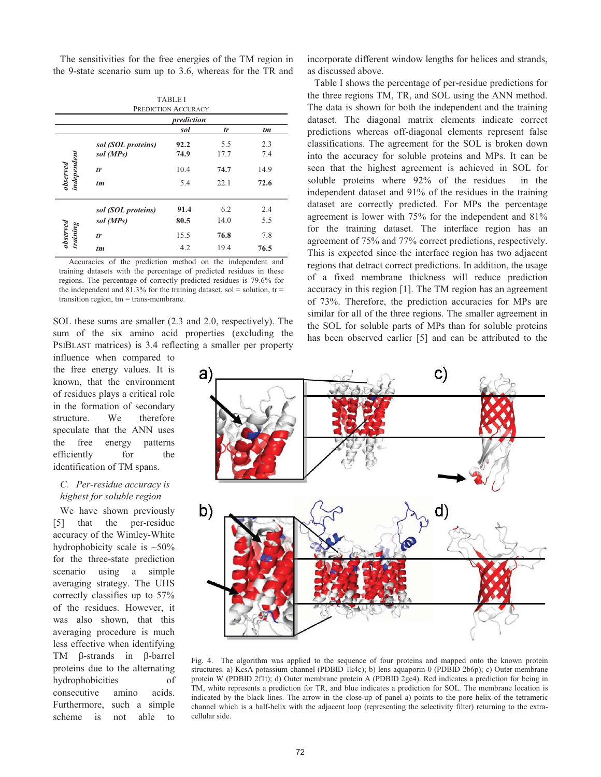The sensitivities for the free energies of the TM region in the 9-state scenario sum up to 3.6, whereas for the TR and

|                               |                    | <b>TABLE I</b><br>PREDICTION ACCURACY |      |      |  |
|-------------------------------|--------------------|---------------------------------------|------|------|--|
|                               | prediction         |                                       |      |      |  |
|                               |                    | sol                                   | tr   | tm   |  |
| observed<br>independent       | sol (SOL proteins) | 92.2                                  | 5.5  | 2.3  |  |
|                               | sol (MPs)          | 74.9                                  | 17.7 | 7.4  |  |
|                               | tr                 | 10.4                                  | 74.7 | 14.9 |  |
|                               | $tm$               | 5.4                                   | 22.1 | 72.6 |  |
|                               | sol (SOL proteins) | 91.4                                  | 6.2  | 2.4  |  |
| $\emph{observed}$<br>training | sol (MPs)          | 80.5                                  | 14.0 | 5.5  |  |
|                               | tr                 | 15.5                                  | 76.8 | 7.8  |  |
|                               | $tm$               | 4.2                                   | 19.4 | 76.5 |  |

Accuracies of the prediction method on the independent and training datasets with the percentage of predicted residues in these regions. The percentage of correctly predicted residues is 79.6% for the independent and 81.3% for the training dataset. sol = solution,  $tr =$ transition region, tm = trans-membrane.

SOL these sums are smaller (2.3 and 2.0, respectively). The sum of the six amino acid properties (excluding the PSIBLAST matrices) is 3.4 reflecting a smaller per property

influence when compared to the free energy values. It is known, that the environment of residues plays a critical role in the formation of secondary structure. We therefore speculate that the ANN uses the free energy patterns efficiently for the identification of TM spans.

## *C. Per-residue accuracy is highest for soluble region*

We have shown previously [5] that the per-residue accuracy of the Wimley-White hydrophobicity scale is  $~50\%$ for the three-state prediction scenario using a simple averaging strategy. The UHS correctly classifies up to 57% of the residues. However, it was also shown, that this averaging procedure is much less effective when identifying TM  $\beta$ -strands in  $\beta$ -barrel proteins due to the alternating hydrophobicities of consecutive amino acids. Furthermore, such a simple scheme is not able to

incorporate different window lengths for helices and strands, as discussed above.

Table I shows the percentage of per-residue predictions for the three regions TM, TR, and SOL using the ANN method. The data is shown for both the independent and the training dataset. The diagonal matrix elements indicate correct predictions whereas off-diagonal elements represent false classifications. The agreement for the SOL is broken down into the accuracy for soluble proteins and MPs. It can be seen that the highest agreement is achieved in SOL for soluble proteins where 92% of the residues in the independent dataset and 91% of the residues in the training dataset are correctly predicted. For MPs the percentage agreement is lower with 75% for the independent and 81% for the training dataset. The interface region has an agreement of 75% and 77% correct predictions, respectively. This is expected since the interface region has two adjacent regions that detract correct predictions. In addition, the usage of a fixed membrane thickness will reduce prediction accuracy in this region [1]. The TM region has an agreement of 73%. Therefore, the prediction accuracies for MPs are similar for all of the three regions. The smaller agreement in the SOL for soluble parts of MPs than for soluble proteins has been observed earlier [5] and can be attributed to the



Fig. 4. The algorithm was applied to the sequence of four proteins and mapped onto the known protein structures. a) KcsA potassium channel (PDBID 1k4c); b) lens aquaporin-0 (PDBID 2b6p); c) Outer membrane protein W (PDBID 2f1t); d) Outer membrane protein A (PDBID 2ge4). Red indicates a prediction for being in TM, white represents a prediction for TR, and blue indicates a prediction for SOL. The membrane location is indicated by the black lines. The arrow in the close-up of panel a) points to the pore helix of the tetrameric channel which is a half-helix with the adjacent loop (representing the selectivity filter) returning to the extracellular side.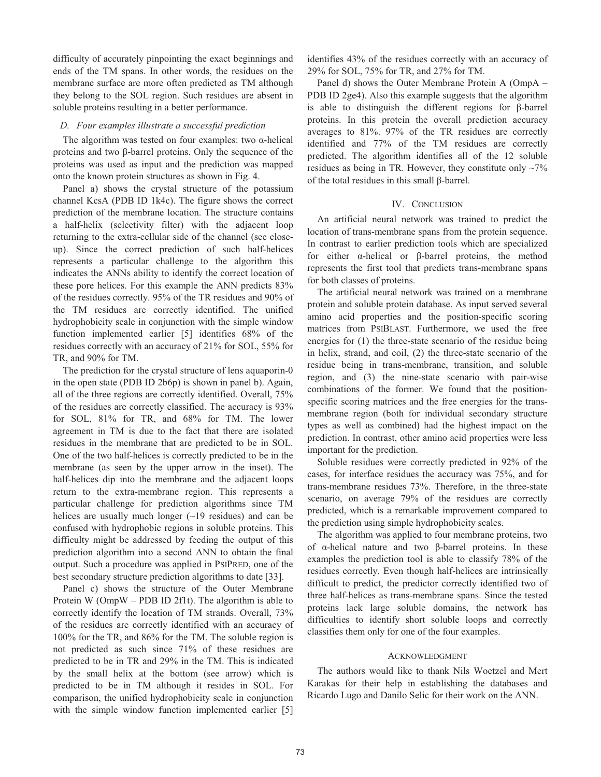difficulty of accurately pinpointing the exact beginnings and ends of the TM spans. In other words, the residues on the membrane surface are more often predicted as TM although they belong to the SOL region. Such residues are absent in soluble proteins resulting in a better performance.

#### *D. Four examples illustrate a successful prediction*

The algorithm was tested on four examples: two  $\alpha$ -helical proteins and two  $\beta$ -barrel proteins. Only the sequence of the proteins was used as input and the prediction was mapped onto the known protein structures as shown in Fig. 4.

Panel a) shows the crystal structure of the potassium channel KcsA (PDB ID 1k4c). The figure shows the correct prediction of the membrane location. The structure contains a half-helix (selectivity filter) with the adjacent loop returning to the extra-cellular side of the channel (see closeup). Since the correct prediction of such half-helices represents a particular challenge to the algorithm this indicates the ANNs ability to identify the correct location of these pore helices. For this example the ANN predicts 83% of the residues correctly. 95% of the TR residues and 90% of the TM residues are correctly identified. The unified hydrophobicity scale in conjunction with the simple window function implemented earlier [5] identifies 68% of the residues correctly with an accuracy of 21% for SOL, 55% for TR, and 90% for TM.

The prediction for the crystal structure of lens aquaporin-0 in the open state (PDB ID 2b6p) is shown in panel b). Again, all of the three regions are correctly identified. Overall, 75% of the residues are correctly classified. The accuracy is 93% for SOL, 81% for TR, and 68% for TM. The lower agreement in TM is due to the fact that there are isolated residues in the membrane that are predicted to be in SOL. One of the two half-helices is correctly predicted to be in the membrane (as seen by the upper arrow in the inset). The half-helices dip into the membrane and the adjacent loops return to the extra-membrane region. This represents a particular challenge for prediction algorithms since TM helices are usually much longer  $(\sim 19 \text{ residues})$  and can be confused with hydrophobic regions in soluble proteins. This difficulty might be addressed by feeding the output of this prediction algorithm into a second ANN to obtain the final output. Such a procedure was applied in PSIPRED, one of the best secondary structure prediction algorithms to date [33].

Panel c) shows the structure of the Outer Membrane Protein W (OmpW – PDB ID 2f1t). The algorithm is able to correctly identify the location of TM strands. Overall, 73% of the residues are correctly identified with an accuracy of 100% for the TR, and 86% for the TM. The soluble region is not predicted as such since 71% of these residues are predicted to be in TR and 29% in the TM. This is indicated by the small helix at the bottom (see arrow) which is predicted to be in TM although it resides in SOL. For comparison, the unified hydrophobicity scale in conjunction with the simple window function implemented earlier [5]

identifies 43% of the residues correctly with an accuracy of 29% for SOL, 75% for TR, and 27% for TM.

Panel d) shows the Outer Membrane Protein A (OmpA – PDB ID 2ge4). Also this example suggests that the algorithm is able to distinguish the different regions for  $\beta$ -barrel proteins. In this protein the overall prediction accuracy averages to 81%. 97% of the TR residues are correctly identified and 77% of the TM residues are correctly predicted. The algorithm identifies all of the 12 soluble residues as being in TR. However, they constitute only  $\sim$ 7% of the total residues in this small  $\beta$ -barrel.

#### IV. CONCLUSION

An artificial neural network was trained to predict the location of trans-membrane spans from the protein sequence. In contrast to earlier prediction tools which are specialized for either  $\alpha$ -helical or  $\beta$ -barrel proteins, the method represents the first tool that predicts trans-membrane spans for both classes of proteins.

The artificial neural network was trained on a membrane protein and soluble protein database. As input served several amino acid properties and the position-specific scoring matrices from PSIBLAST. Furthermore, we used the free energies for (1) the three-state scenario of the residue being in helix, strand, and coil, (2) the three-state scenario of the residue being in trans-membrane, transition, and soluble region, and (3) the nine-state scenario with pair-wise combinations of the former. We found that the positionspecific scoring matrices and the free energies for the transmembrane region (both for individual secondary structure types as well as combined) had the highest impact on the prediction. In contrast, other amino acid properties were less important for the prediction.

Soluble residues were correctly predicted in 92% of the cases, for interface residues the accuracy was 75%, and for trans-membrane residues 73%. Therefore, in the three-state scenario, on average 79% of the residues are correctly predicted, which is a remarkable improvement compared to the prediction using simple hydrophobicity scales.

The algorithm was applied to four membrane proteins, two of  $\alpha$ -helical nature and two  $\beta$ -barrel proteins. In these examples the prediction tool is able to classify 78% of the residues correctly. Even though half-helices are intrinsically difficult to predict, the predictor correctly identified two of three half-helices as trans-membrane spans. Since the tested proteins lack large soluble domains, the network has difficulties to identify short soluble loops and correctly classifies them only for one of the four examples.

#### ACKNOWLEDGMENT

The authors would like to thank Nils Woetzel and Mert Karakas for their help in establishing the databases and Ricardo Lugo and Danilo Selic for their work on the ANN.